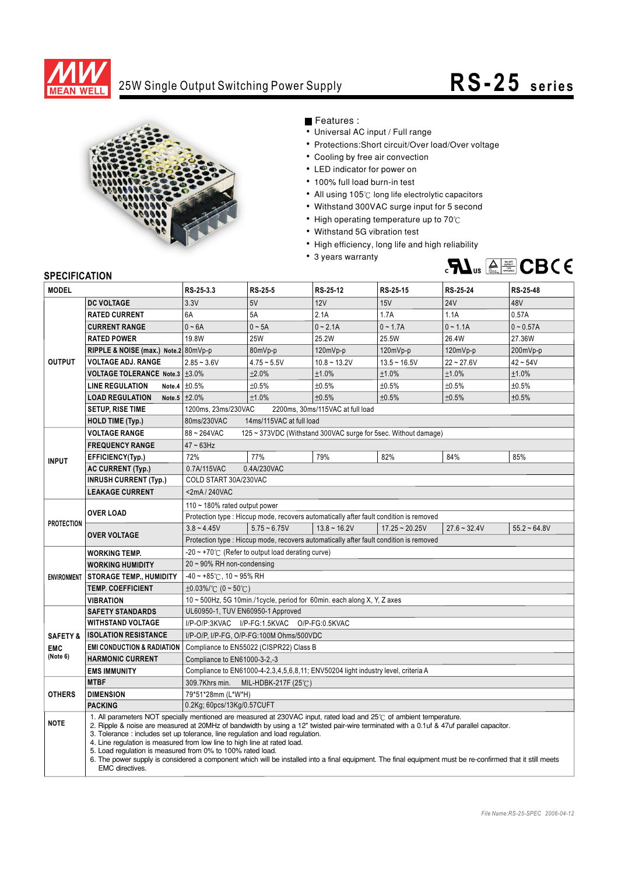

## 25W Single Output Switching Power Supply **RS-25 s e ri e s**



Features :

- Universal AC input / Full range
- Protections: Short circuit/Over load/Over voltage
- Cooling by free air convection
- LED indicator for power on
- 100% full load burn-in test
- All using 105°C long life electrolytic capacitors
- Withstand 300VAC surge input for 5 second
- High operating temperature up to  $70^{\circ}$ C
- Withstand 5G vibration test
- High efficiency, long life and high reliability
- 3 years warranty



## **SPECIFICATION**

| <b>MODEL</b>           |                                                                                                                                                                                                                                                                                                                                                                                                                                                                                                                                                                                                                                                                                    | RS-25-3.3                                                                              | RS-25-5        | RS-25-12                                                                               | RS-25-15         | RS-25-24       | RS-25-48       |
|------------------------|------------------------------------------------------------------------------------------------------------------------------------------------------------------------------------------------------------------------------------------------------------------------------------------------------------------------------------------------------------------------------------------------------------------------------------------------------------------------------------------------------------------------------------------------------------------------------------------------------------------------------------------------------------------------------------|----------------------------------------------------------------------------------------|----------------|----------------------------------------------------------------------------------------|------------------|----------------|----------------|
| <b>OUTPUT</b>          | <b>DC VOLTAGE</b>                                                                                                                                                                                                                                                                                                                                                                                                                                                                                                                                                                                                                                                                  | 3.3V                                                                                   | 5V             | 12V                                                                                    | 15V              | <b>24V</b>     | 48V            |
|                        | <b>RATED CURRENT</b>                                                                                                                                                                                                                                                                                                                                                                                                                                                                                                                                                                                                                                                               | 6A                                                                                     | 5A             | 2.1A                                                                                   | 1.7A             | 1.1A           | 0.57A          |
|                        | <b>CURRENT RANGE</b>                                                                                                                                                                                                                                                                                                                                                                                                                                                                                                                                                                                                                                                               | $0 - 6A$                                                                               | $0 \sim 5A$    | $0 - 2.1A$                                                                             | $0 - 1.7A$       | $0 - 1.1A$     | $0 - 0.57A$    |
|                        | <b>RATED POWER</b>                                                                                                                                                                                                                                                                                                                                                                                                                                                                                                                                                                                                                                                                 | 19.8W                                                                                  | <b>25W</b>     | 25.2W                                                                                  | 25.5W            | 26.4W          | 27.36W         |
|                        | RIPPLE & NOISE (max.) Note.2 80mVp-p                                                                                                                                                                                                                                                                                                                                                                                                                                                                                                                                                                                                                                               |                                                                                        | 80mVp-p        | 120mVp-p                                                                               | 120mVp-p         | $120mVp-p$     | 200mVp-p       |
|                        | <b>VOLTAGE ADJ. RANGE</b>                                                                                                                                                                                                                                                                                                                                                                                                                                                                                                                                                                                                                                                          | $2.85 - 3.6V$                                                                          | $4.75 - 5.5V$  | $10.8 - 13.2V$                                                                         | $13.5 - 16.5V$   | $22 - 27.6V$   | $42 - 54V$     |
|                        | VOLTAGE TOLERANCE Note.3   ±3.0%                                                                                                                                                                                                                                                                                                                                                                                                                                                                                                                                                                                                                                                   |                                                                                        | ±2.0%          | ±1.0%                                                                                  | ±1.0%            | ±1.0%          | ±1.0%          |
|                        | <b>LINE REGULATION</b>                                                                                                                                                                                                                                                                                                                                                                                                                                                                                                                                                                                                                                                             | Note.4 $\pm 0.5\%$                                                                     | ±0.5%          | ±0.5%                                                                                  | ±0.5%            | ±0.5%          | ±0.5%          |
|                        | <b>LOAD REGULATION</b>                                                                                                                                                                                                                                                                                                                                                                                                                                                                                                                                                                                                                                                             | Note.5 $\pm 2.0\%$                                                                     | ±1.0%          | ±0.5%                                                                                  | ±0.5%            | ±0.5%          | ±0.5%          |
|                        | <b>SETUP, RISE TIME</b>                                                                                                                                                                                                                                                                                                                                                                                                                                                                                                                                                                                                                                                            | 1200ms, 23ms/230VAC<br>2200ms, 30ms/115VAC at full load                                |                |                                                                                        |                  |                |                |
|                        | <b>HOLD TIME (Typ.)</b>                                                                                                                                                                                                                                                                                                                                                                                                                                                                                                                                                                                                                                                            | 80ms/230VAC<br>14ms/115VAC at full load                                                |                |                                                                                        |                  |                |                |
| <b>INPUT</b>           | <b>VOLTAGE RANGE</b>                                                                                                                                                                                                                                                                                                                                                                                                                                                                                                                                                                                                                                                               | 88~264VAC<br>125 ~ 373VDC (Withstand 300VAC surge for 5sec. Without damage)            |                |                                                                                        |                  |                |                |
|                        | <b>FREQUENCY RANGE</b>                                                                                                                                                                                                                                                                                                                                                                                                                                                                                                                                                                                                                                                             | $47 \sim 63$ Hz                                                                        |                |                                                                                        |                  |                |                |
|                        | EFFICIENCY(Typ.)                                                                                                                                                                                                                                                                                                                                                                                                                                                                                                                                                                                                                                                                   | 72%                                                                                    | 77%            | 79%                                                                                    | 82%              | 84%            | 85%            |
|                        | <b>AC CURRENT (Typ.)</b>                                                                                                                                                                                                                                                                                                                                                                                                                                                                                                                                                                                                                                                           | 0.4A/230VAC<br>0.7A/115VAC                                                             |                |                                                                                        |                  |                |                |
|                        | <b>INRUSH CURRENT (Typ.)</b>                                                                                                                                                                                                                                                                                                                                                                                                                                                                                                                                                                                                                                                       | COLD START 30A/230VAC                                                                  |                |                                                                                        |                  |                |                |
|                        | <b>LEAKAGE CURRENT</b>                                                                                                                                                                                                                                                                                                                                                                                                                                                                                                                                                                                                                                                             | $<$ 2mA / 240VAC                                                                       |                |                                                                                        |                  |                |                |
| <b>PROTECTION</b>      | <b>OVER LOAD</b>                                                                                                                                                                                                                                                                                                                                                                                                                                                                                                                                                                                                                                                                   | 110 $\sim$ 180% rated output power                                                     |                |                                                                                        |                  |                |                |
|                        |                                                                                                                                                                                                                                                                                                                                                                                                                                                                                                                                                                                                                                                                                    |                                                                                        |                | Protection type : Hiccup mode, recovers automatically after fault condition is removed |                  |                |                |
|                        | <b>OVER VOLTAGE</b>                                                                                                                                                                                                                                                                                                                                                                                                                                                                                                                                                                                                                                                                | $3.8 - 4.45V$                                                                          | $5.75 - 6.75V$ | $13.8 \sim 16.2V$                                                                      | $17.25 - 20.25V$ | $27.6 - 32.4V$ | $55.2 - 64.8V$ |
|                        |                                                                                                                                                                                                                                                                                                                                                                                                                                                                                                                                                                                                                                                                                    | Protection type : Hiccup mode, recovers automatically after fault condition is removed |                |                                                                                        |                  |                |                |
| <b>ENVIRONMENT</b>     | <b>WORKING TEMP.</b>                                                                                                                                                                                                                                                                                                                                                                                                                                                                                                                                                                                                                                                               | $-20 \sim +70^{\circ}$ (Refer to output load derating curve)                           |                |                                                                                        |                  |                |                |
|                        | <b>WORKING HUMIDITY</b>                                                                                                                                                                                                                                                                                                                                                                                                                                                                                                                                                                                                                                                            | 20~90% RH non-condensing                                                               |                |                                                                                        |                  |                |                |
|                        | <b>STORAGE TEMP., HUMIDITY</b>                                                                                                                                                                                                                                                                                                                                                                                                                                                                                                                                                                                                                                                     | $-40 \sim +85^{\circ}$ C, 10 ~ 95% RH                                                  |                |                                                                                        |                  |                |                |
|                        | <b>TEMP. COEFFICIENT</b>                                                                                                                                                                                                                                                                                                                                                                                                                                                                                                                                                                                                                                                           | $\pm 0.03\%$ (°C (0 ~ 50°C)                                                            |                |                                                                                        |                  |                |                |
|                        | <b>VIBRATION</b>                                                                                                                                                                                                                                                                                                                                                                                                                                                                                                                                                                                                                                                                   | 10 ~ 500Hz, 5G 10min./1cycle, period for 60min. each along X, Y, Z axes                |                |                                                                                        |                  |                |                |
|                        | <b>SAFETY STANDARDS</b>                                                                                                                                                                                                                                                                                                                                                                                                                                                                                                                                                                                                                                                            | UL60950-1, TUV EN60950-1 Approved                                                      |                |                                                                                        |                  |                |                |
|                        | <b>WITHSTAND VOLTAGE</b>                                                                                                                                                                                                                                                                                                                                                                                                                                                                                                                                                                                                                                                           | I/P-O/P:3KVAC I/P-FG:1.5KVAC O/P-FG:0.5KVAC                                            |                |                                                                                        |                  |                |                |
| <b>SAFETY &amp;</b>    | <b>ISOLATION RESISTANCE</b>                                                                                                                                                                                                                                                                                                                                                                                                                                                                                                                                                                                                                                                        | I/P-O/P, I/P-FG, O/P-FG:100M Ohms/500VDC                                               |                |                                                                                        |                  |                |                |
| <b>EMC</b><br>(Note 6) | <b>EMI CONDUCTION &amp; RADIATION</b>                                                                                                                                                                                                                                                                                                                                                                                                                                                                                                                                                                                                                                              | Compliance to EN55022 (CISPR22) Class B                                                |                |                                                                                        |                  |                |                |
|                        | <b>HARMONIC CURRENT</b>                                                                                                                                                                                                                                                                                                                                                                                                                                                                                                                                                                                                                                                            | Compliance to EN61000-3-2,-3                                                           |                |                                                                                        |                  |                |                |
|                        | <b>EMS IMMUNITY</b>                                                                                                                                                                                                                                                                                                                                                                                                                                                                                                                                                                                                                                                                | Compliance to EN61000-4-2,3,4,5,6,8,11; ENV50204 light industry level, criteria A      |                |                                                                                        |                  |                |                |
| <b>OTHERS</b>          | <b>MTBF</b>                                                                                                                                                                                                                                                                                                                                                                                                                                                                                                                                                                                                                                                                        | 309.7Khrs min.<br>MIL-HDBK-217F (25 $\degree$ C)                                       |                |                                                                                        |                  |                |                |
|                        | <b>DIMENSION</b>                                                                                                                                                                                                                                                                                                                                                                                                                                                                                                                                                                                                                                                                   | 79*51*28mm (L*W*H)                                                                     |                |                                                                                        |                  |                |                |
|                        | <b>PACKING</b>                                                                                                                                                                                                                                                                                                                                                                                                                                                                                                                                                                                                                                                                     | 0.2Kg; 60pcs/13Kg/0.57CUFT                                                             |                |                                                                                        |                  |                |                |
| <b>NOTE</b>            | 1. All parameters NOT specially mentioned are measured at 230VAC input, rated load and 25°C of ambient temperature.<br>2. Ripple & noise are measured at 20MHz of bandwidth by using a 12" twisted pair-wire terminated with a 0.1uf & 47uf parallel capacitor.<br>3. Tolerance: includes set up tolerance, line regulation and load regulation.<br>4. Line regulation is measured from low line to high line at rated load.<br>5. Load regulation is measured from 0% to 100% rated load.<br>6. The power supply is considered a component which will be installed into a final equipment. The final equipment must be re-confirmed that it still meets<br><b>EMC</b> directives. |                                                                                        |                |                                                                                        |                  |                |                |